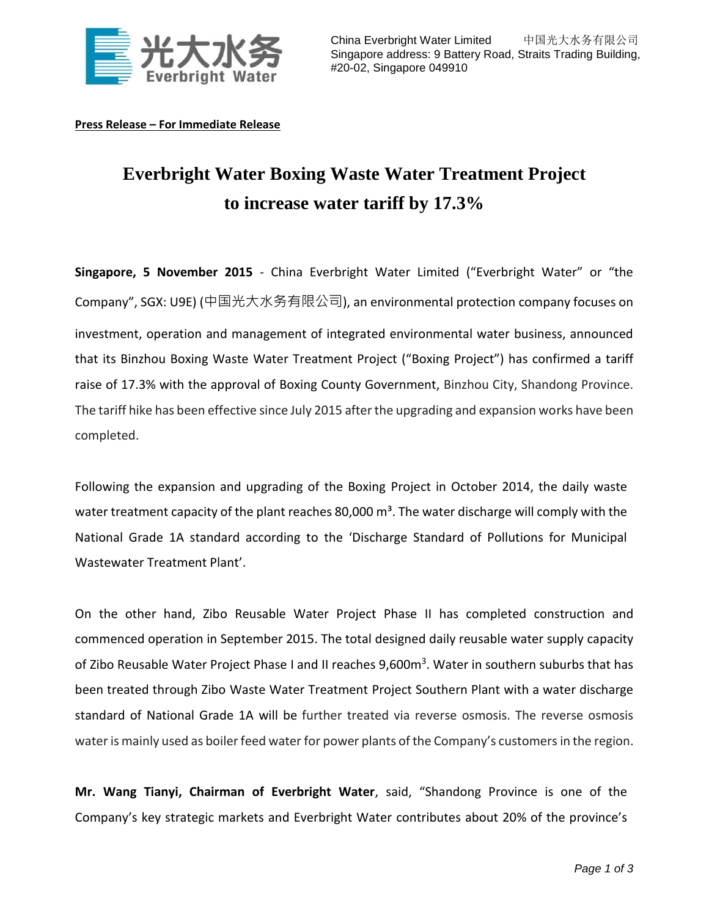

**Press Release – For Immediate Release**

## **Everbright Water Boxing Waste Water Treatment Project to increase water tariff by 17.3%**

**Singapore, 5 November 2015** - China Everbright Water Limited ("Everbright Water" or "the Company", SGX: U9E) (中国光大水务有限公司), an environmental protection company focuses on investment, operation and management of integrated environmental water business, announced that its Binzhou Boxing Waste Water Treatment Project ("Boxing Project") has confirmed a tariff raise of 17.3% with the approval of Boxing County Government, Binzhou City, Shandong Province. The tariff hike has been effective since July 2015 after the upgrading and expansion works have been completed.

Following the expansion and upgrading of the Boxing Project in October 2014, the daily waste water treatment capacity of the plant reaches 80,000  $\text{m}^3$ . The water discharge will comply with the National Grade 1A standard according to the 'Discharge Standard of Pollutions for Municipal Wastewater Treatment Plant'.

On the other hand, Zibo Reusable Water Project Phase II has completed construction and commenced operation in September 2015. The total designed daily reusable water supply capacity of Zibo Reusable Water Project Phase I and II reaches 9,600m<sup>3</sup>. Water in southern suburbs that has been treated through Zibo Waste Water Treatment Project Southern Plant with a water discharge standard of National Grade 1A will be further treated via reverse osmosis. The reverse osmosis water is mainly used as boiler feed water for power plants of the Company's customers in the region.

**Mr. Wang Tianyi, Chairman of Everbright Water**, said, "Shandong Province is one of the Company's key strategic markets and Everbright Water contributes about 20% of the province's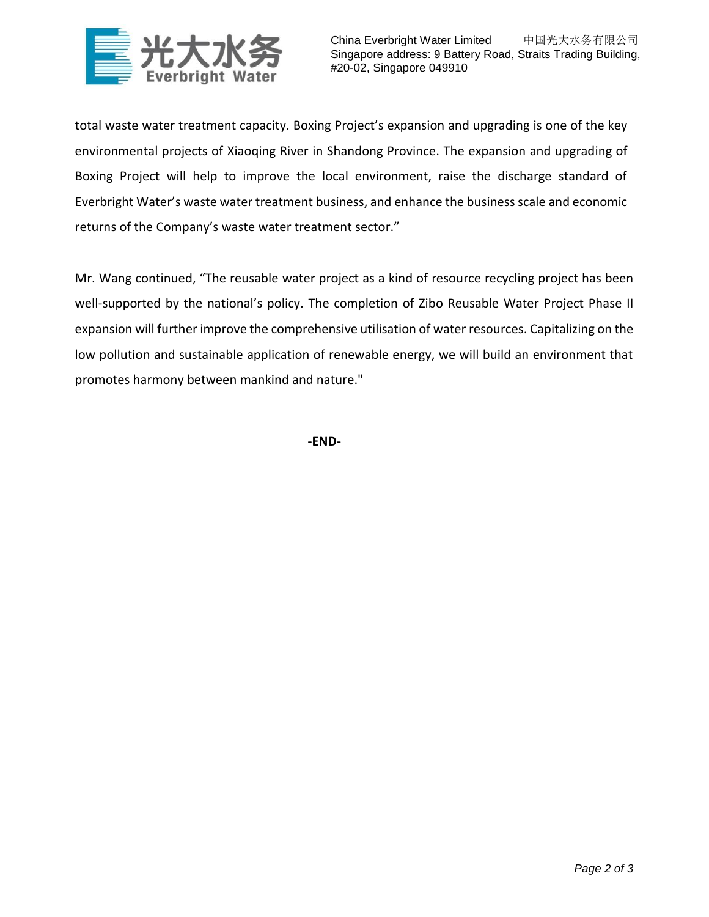

China Everbright Water Limited 中国光大水务有限公司 Singapore address: 9 Battery Road, Straits Trading Building, #20-02, Singapore 049910

total waste water treatment capacity. Boxing Project's expansion and upgrading is one of the key environmental projects of Xiaoqing River in Shandong Province. The expansion and upgrading of Boxing Project will help to improve the local environment, raise the discharge standard of Everbright Water's waste water treatment business, and enhance the business scale and economic returns of the Company's waste water treatment sector."

Mr. Wang continued, "The reusable water project as a kind of resource recycling project has been well-supported by the national's policy. The completion of Zibo Reusable Water Project Phase II expansion will further improve the comprehensive utilisation of water resources. Capitalizing on the low pollution and sustainable application of renewable energy, we will build an environment that promotes harmony between mankind and nature."

**-END-**